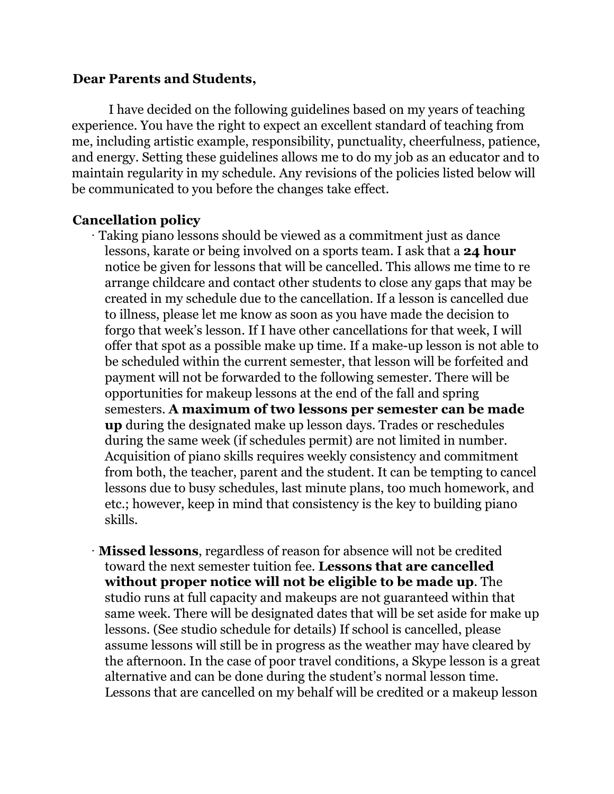#### **Dear Parents and Students,**

I have decided on the following guidelines based on my years of teaching experience. You have the right to expect an excellent standard of teaching from me, including artistic example, responsibility, punctuality, cheerfulness, patience, and energy. Setting these guidelines allows me to do my job as an educator and to maintain regularity in my schedule. Any revisions of the policies listed below will be communicated to you before the changes take effect.

### **Cancellation policy**

- · Taking piano lessons should be viewed as a commitment just as dance lessons, karate or being involved on a sports team. I ask that a **24 hour** notice be given for lessons that will be cancelled. This allows me time to re arrange childcare and contact other students to close any gaps that may be created in my schedule due to the cancellation. If a lesson is cancelled due to illness, please let me know as soon as you have made the decision to forgo that week's lesson. If I have other cancellations for that week, I will offer that spot as a possible make up time. If a make-up lesson is not able to be scheduled within the current semester, that lesson will be forfeited and payment will not be forwarded to the following semester. There will be opportunities for makeup lessons at the end of the fall and spring semesters. **A maximum of two lessons per semester can be made up** during the designated make up lesson days. Trades or reschedules during the same week (if schedules permit) are not limited in number. Acquisition of piano skills requires weekly consistency and commitment from both, the teacher, parent and the student. It can be tempting to cancel lessons due to busy schedules, last minute plans, too much homework, and etc.; however, keep in mind that consistency is the key to building piano skills.
- · **Missed lessons**, regardless of reason for absence will not be credited toward the next semester tuition fee. **Lessons that are cancelled without proper notice will not be eligible to be made up**. The studio runs at full capacity and makeups are not guaranteed within that same week. There will be designated dates that will be set aside for make up lessons. (See studio schedule for details) If school is cancelled, please assume lessons will still be in progress as the weather may have cleared by the afternoon. In the case of poor travel conditions, a Skype lesson is a great alternative and can be done during the student's normal lesson time. Lessons that are cancelled on my behalf will be credited or a makeup lesson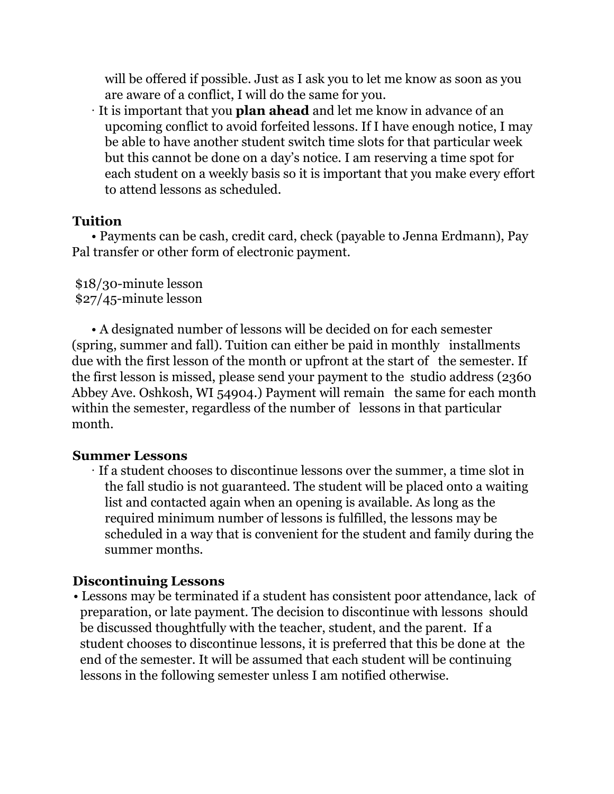will be offered if possible. Just as I ask you to let me know as soon as you are aware of a conflict, I will do the same for you.

· It is important that you **plan ahead** and let me know in advance of an upcoming conflict to avoid forfeited lessons. If I have enough notice, I may be able to have another student switch time slots for that particular week but this cannot be done on a day's notice. I am reserving a time spot for each student on a weekly basis so it is important that you make every effort to attend lessons as scheduled.

## **Tuition**

• Payments can be cash, credit card, check (payable to Jenna Erdmann), Pay Pal transfer or other form of electronic payment.

\$18/30-minute lesson \$27/45-minute lesson

• A designated number of lessons will be decided on for each semester (spring, summer and fall). Tuition can either be paid in monthly installments due with the first lesson of the month or upfront at the start of the semester. If the first lesson is missed, please send your payment to the studio address (2360 Abbey Ave. Oshkosh, WI 54904.) Payment will remain the same for each month within the semester, regardless of the number of lessons in that particular month.

# **Summer Lessons**

· If a student chooses to discontinue lessons over the summer, a time slot in the fall studio is not guaranteed. The student will be placed onto a waiting list and contacted again when an opening is available. As long as the required minimum number of lessons is fulfilled, the lessons may be scheduled in a way that is convenient for the student and family during the summer months.

# **Discontinuing Lessons**

• Lessons may be terminated if a student has consistent poor attendance, lack of preparation, or late payment. The decision to discontinue with lessons should be discussed thoughtfully with the teacher, student, and the parent. If a student chooses to discontinue lessons, it is preferred that this be done at the end of the semester. It will be assumed that each student will be continuing lessons in the following semester unless I am notified otherwise.